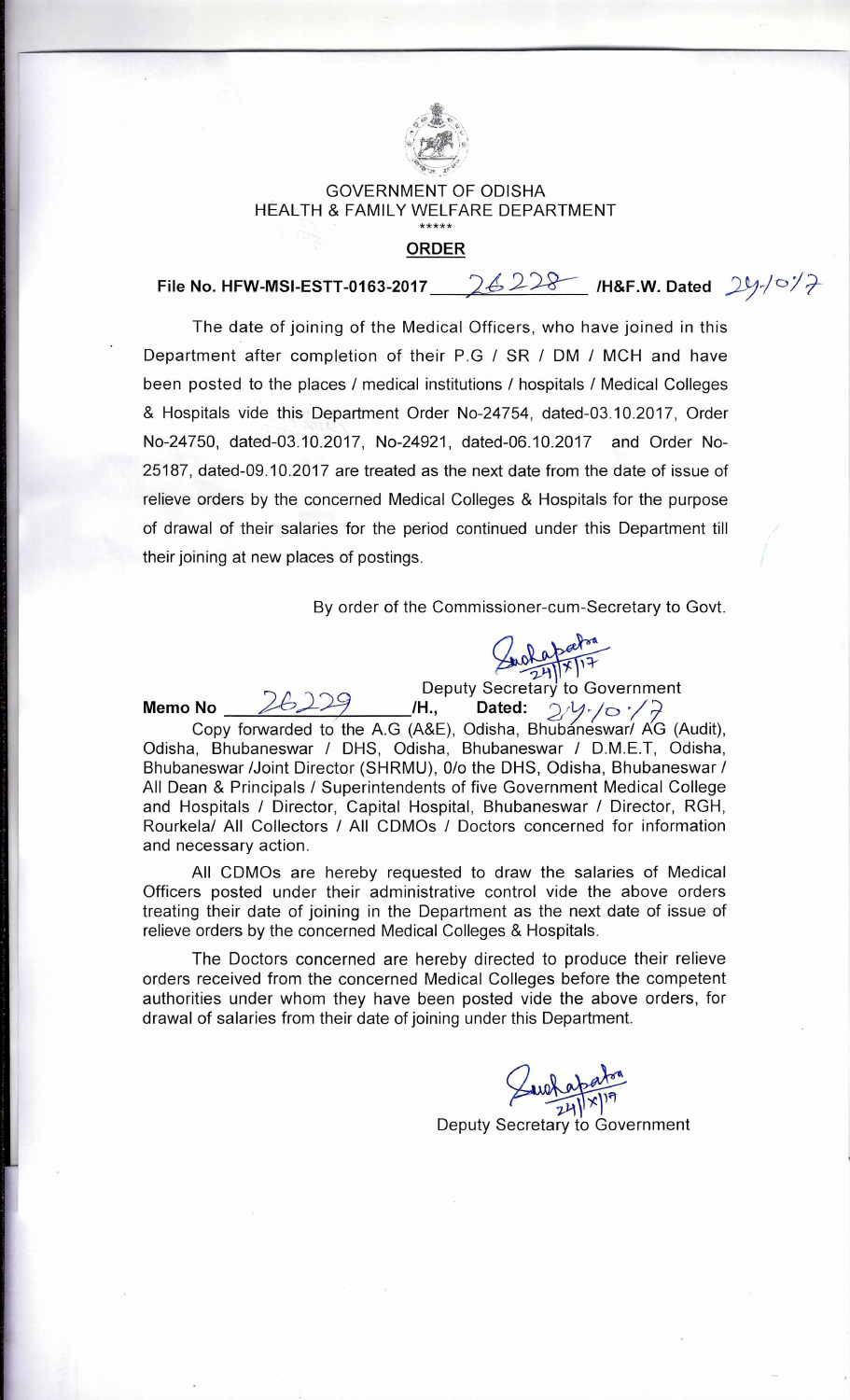

## GOVERNMENT OF ODISHA HEALTH & FAMILY WELFARE DEPARTMENT \*\*\*\*\*

## **ORDER**

**File No. HFW-MSI-ESTT-0163-2017** 26228 /H&F.W. Dated 24-/0/7

The date of joining of the Medical Officers, who have joined in this Department after completion of their P.G / SR / DM / MCH and have been posted to the places / medical institutions / hospitals / Medical Colleges & Hospitals vide this Department Order No-24754, dated-03.10.2017, Order No-24750, dated-03.10.2017, No-24921, dated-06.10.2017 and Order No-25187, dated-09.10.2017 are treated as the next date from the date of issue of relieve orders by the concerned Medical Colleges & Hospitals for the purpose of drawal of their salaries for the period continued under this Department till their joining at new places of postings.

By order of the Commissioner-cum-Secretary to Govt.

**Support of Secretary to Government 26229 H., Dated:** 2/1/0.

Copy forwarded to the A.G (A&E), Odisha, Bhubáneswar/ AG (Audit), Odisha, Bhubaneswar / DHS, Odisha, Bhubaneswar / D.M.E.T, Odisha, Bhubaneswar /Joint Director (SHRMU), 0/0 the DHS, Odisha, Bhubaneswar / All Dean & Principals / Superintendents of five Government Medical College and Hospitals / Director, Capital Hospital, Bhubaneswar / Director, RGH, Rourkela/ All Collectors / All CDMOs / Doctors concerned for information and necessary action.

**Memo No** 

All CDMOs are hereby requested to draw the salaries of Medical Officers posted under their administrative control vide the above orders treating their date of joining in the Department as the next date of issue of relieve orders by the concerned Medical Colleges & Hospitals.

The Doctors concerned are hereby directed to produce their relieve orders received from the concerned Medical Colleges before the competent authorities under whom they have been posted vide the above orders, for drawal of salaries from their date of joining under this Department.

> )\*1 7)-1) Deputy Secretary to Government